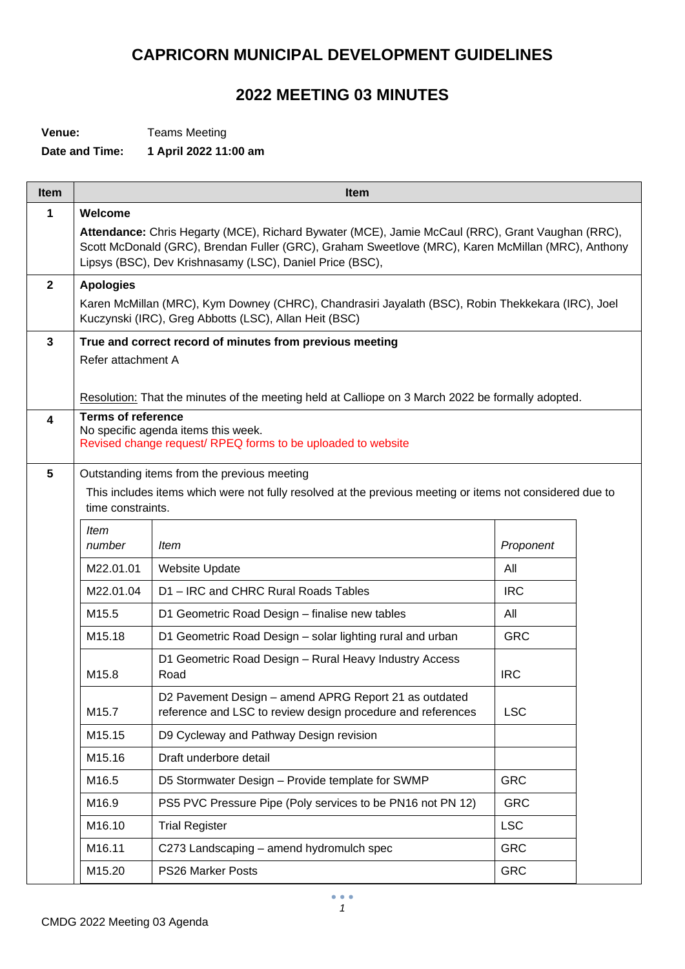## **CAPRICORN MUNICIPAL DEVELOPMENT GUIDELINES**

## **2022 MEETING 03 MINUTES**

**Venue:** Teams Meeting

## **Date and Time: 1 April 2022 11:00 am**

| <b>Item</b>      | <b>Item</b>               |                                                                                                                                                                                                                                                                   |            |  |
|------------------|---------------------------|-------------------------------------------------------------------------------------------------------------------------------------------------------------------------------------------------------------------------------------------------------------------|------------|--|
| 1                | Welcome                   |                                                                                                                                                                                                                                                                   |            |  |
|                  |                           | Attendance: Chris Hegarty (MCE), Richard Bywater (MCE), Jamie McCaul (RRC), Grant Vaughan (RRC),<br>Scott McDonald (GRC), Brendan Fuller (GRC), Graham Sweetlove (MRC), Karen McMillan (MRC), Anthony<br>Lipsys (BSC), Dev Krishnasamy (LSC), Daniel Price (BSC), |            |  |
| $\mathbf{2}$     | <b>Apologies</b>          |                                                                                                                                                                                                                                                                   |            |  |
|                  |                           | Karen McMillan (MRC), Kym Downey (CHRC), Chandrasiri Jayalath (BSC), Robin Thekkekara (IRC), Joel<br>Kuczynski (IRC), Greg Abbotts (LSC), Allan Heit (BSC)                                                                                                        |            |  |
| 3                |                           | True and correct record of minutes from previous meeting                                                                                                                                                                                                          |            |  |
|                  | Refer attachment A        |                                                                                                                                                                                                                                                                   |            |  |
|                  |                           |                                                                                                                                                                                                                                                                   |            |  |
|                  |                           | Resolution: That the minutes of the meeting held at Calliope on 3 March 2022 be formally adopted.                                                                                                                                                                 |            |  |
| $\blacktriangle$ | <b>Terms of reference</b> | No specific agenda items this week.<br>Revised change request/ RPEQ forms to be uploaded to website                                                                                                                                                               |            |  |
| $5\phantom{1}$   |                           | Outstanding items from the previous meeting                                                                                                                                                                                                                       |            |  |
|                  | time constraints.         | This includes items which were not fully resolved at the previous meeting or items not considered due to                                                                                                                                                          |            |  |
|                  | ltem                      |                                                                                                                                                                                                                                                                   |            |  |
|                  | number                    | <i>Item</i>                                                                                                                                                                                                                                                       | Proponent  |  |
|                  | M22.01.01                 | <b>Website Update</b>                                                                                                                                                                                                                                             | All        |  |
|                  | M22.01.04                 | D1-IRC and CHRC Rural Roads Tables                                                                                                                                                                                                                                | <b>IRC</b> |  |
|                  | M15.5                     | D1 Geometric Road Design - finalise new tables                                                                                                                                                                                                                    | All        |  |
|                  | M15.18                    | D1 Geometric Road Design - solar lighting rural and urban                                                                                                                                                                                                         | <b>GRC</b> |  |
|                  | M15.8                     | D1 Geometric Road Design - Rural Heavy Industry Access<br>Road                                                                                                                                                                                                    | <b>IRC</b> |  |
|                  | M15.7                     | D2 Pavement Design - amend APRG Report 21 as outdated<br>reference and LSC to review design procedure and references                                                                                                                                              | <b>LSC</b> |  |
|                  | M15.15                    | D9 Cycleway and Pathway Design revision                                                                                                                                                                                                                           |            |  |
|                  | M15.16                    | Draft underbore detail                                                                                                                                                                                                                                            |            |  |
|                  | M16.5                     | D5 Stormwater Design - Provide template for SWMP                                                                                                                                                                                                                  | <b>GRC</b> |  |
|                  | M16.9                     | PS5 PVC Pressure Pipe (Poly services to be PN16 not PN 12)                                                                                                                                                                                                        | <b>GRC</b> |  |
|                  | M16.10                    | <b>Trial Register</b>                                                                                                                                                                                                                                             | <b>LSC</b> |  |
|                  | M16.11                    | C273 Landscaping - amend hydromulch spec                                                                                                                                                                                                                          | <b>GRC</b> |  |
|                  | M15.20                    | PS26 Marker Posts                                                                                                                                                                                                                                                 | <b>GRC</b> |  |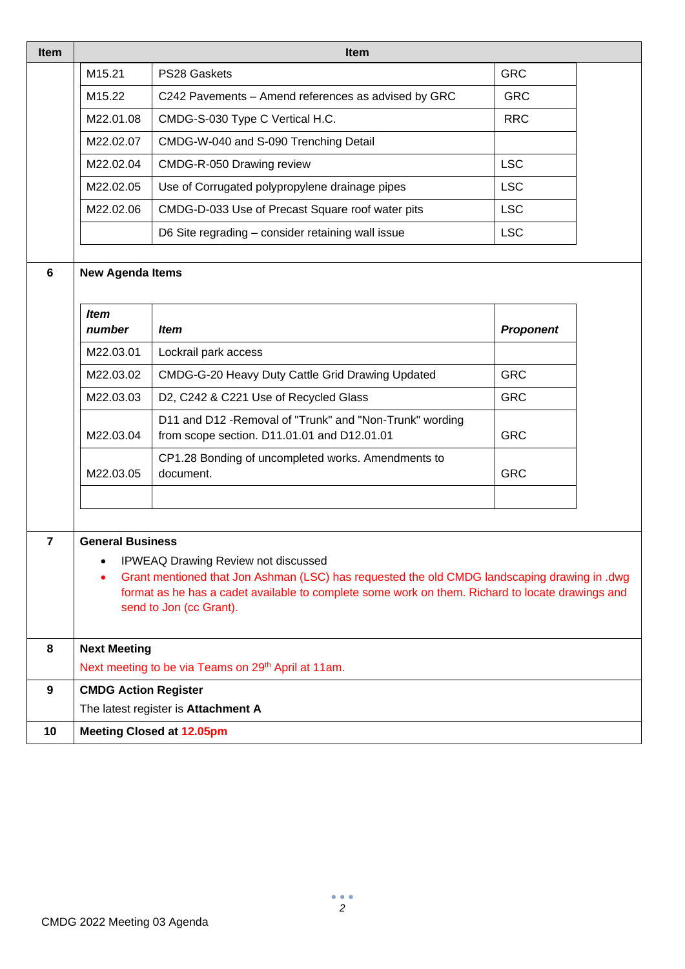| Item             | <b>Item</b>                                                                                                                                                                                                                                                                    |                                                                                                         |                  |  |
|------------------|--------------------------------------------------------------------------------------------------------------------------------------------------------------------------------------------------------------------------------------------------------------------------------|---------------------------------------------------------------------------------------------------------|------------------|--|
|                  | M15.21                                                                                                                                                                                                                                                                         | PS28 Gaskets                                                                                            | <b>GRC</b>       |  |
|                  | M15.22                                                                                                                                                                                                                                                                         | C242 Pavements - Amend references as advised by GRC                                                     | <b>GRC</b>       |  |
|                  | M22.01.08                                                                                                                                                                                                                                                                      | CMDG-S-030 Type C Vertical H.C.                                                                         | <b>RRC</b>       |  |
|                  | M22.02.07                                                                                                                                                                                                                                                                      | CMDG-W-040 and S-090 Trenching Detail                                                                   |                  |  |
|                  | M22.02.04                                                                                                                                                                                                                                                                      | CMDG-R-050 Drawing review                                                                               | <b>LSC</b>       |  |
|                  | M22.02.05                                                                                                                                                                                                                                                                      | Use of Corrugated polypropylene drainage pipes                                                          | <b>LSC</b>       |  |
|                  | M22.02.06                                                                                                                                                                                                                                                                      | CMDG-D-033 Use of Precast Square roof water pits                                                        | <b>LSC</b>       |  |
|                  |                                                                                                                                                                                                                                                                                | D6 Site regrading - consider retaining wall issue                                                       | <b>LSC</b>       |  |
| 6                | <b>New Agenda Items</b>                                                                                                                                                                                                                                                        |                                                                                                         |                  |  |
|                  |                                                                                                                                                                                                                                                                                |                                                                                                         |                  |  |
|                  | <b>Item</b><br>number                                                                                                                                                                                                                                                          | <b>Item</b>                                                                                             | <b>Proponent</b> |  |
|                  | M22.03.01                                                                                                                                                                                                                                                                      | Lockrail park access                                                                                    |                  |  |
|                  | M22.03.02                                                                                                                                                                                                                                                                      | CMDG-G-20 Heavy Duty Cattle Grid Drawing Updated                                                        | <b>GRC</b>       |  |
|                  | M22.03.03                                                                                                                                                                                                                                                                      | D2, C242 & C221 Use of Recycled Glass                                                                   | <b>GRC</b>       |  |
|                  | M22.03.04                                                                                                                                                                                                                                                                      | D11 and D12 - Removal of "Trunk" and "Non-Trunk" wording<br>from scope section. D11.01.01 and D12.01.01 | <b>GRC</b>       |  |
|                  | M22.03.05                                                                                                                                                                                                                                                                      | CP1.28 Bonding of uncompleted works. Amendments to<br>document.                                         | <b>GRC</b>       |  |
| $\overline{7}$   | <b>General Business</b>                                                                                                                                                                                                                                                        |                                                                                                         |                  |  |
|                  | <b>IPWEAQ Drawing Review not discussed</b><br>Grant mentioned that Jon Ashman (LSC) has requested the old CMDG landscaping drawing in .dwg<br>٠<br>format as he has a cadet available to complete some work on them. Richard to locate drawings and<br>send to Jon (cc Grant). |                                                                                                         |                  |  |
| 8                | <b>Next Meeting</b><br>Next meeting to be via Teams on 29 <sup>th</sup> April at 11am.                                                                                                                                                                                         |                                                                                                         |                  |  |
| $\boldsymbol{9}$ | <b>CMDG Action Register</b>                                                                                                                                                                                                                                                    |                                                                                                         |                  |  |
|                  |                                                                                                                                                                                                                                                                                | The latest register is Attachment A                                                                     |                  |  |
| 10               | <b>Meeting Closed at 12.05pm</b>                                                                                                                                                                                                                                               |                                                                                                         |                  |  |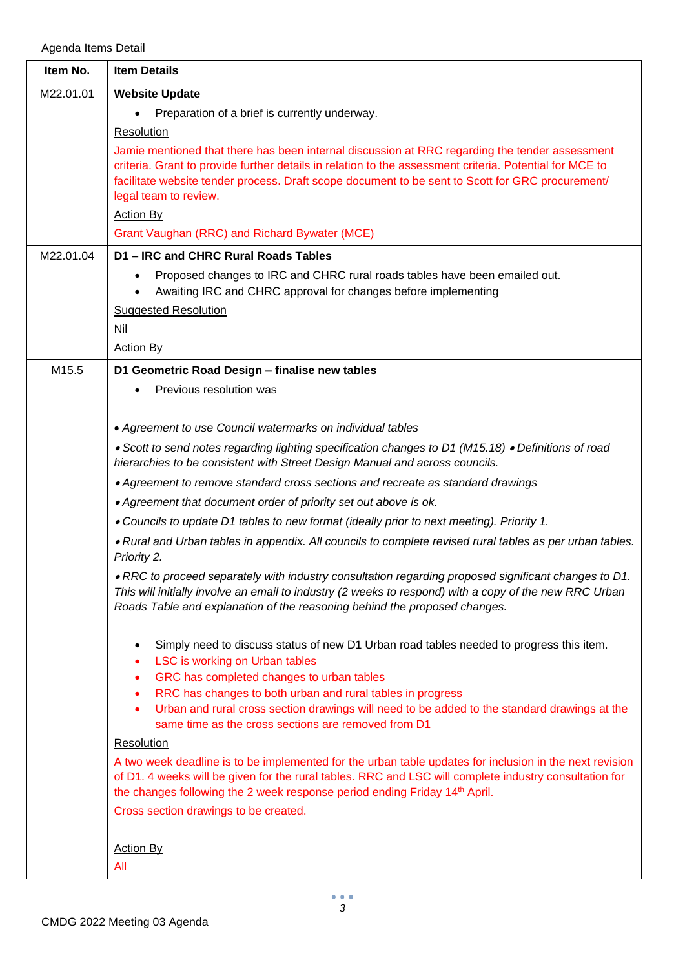Agenda Items Detail

| Item No.  | <b>Item Details</b>                                                                                                                                                                                                                                                                                                                                        |
|-----------|------------------------------------------------------------------------------------------------------------------------------------------------------------------------------------------------------------------------------------------------------------------------------------------------------------------------------------------------------------|
| M22.01.01 | <b>Website Update</b>                                                                                                                                                                                                                                                                                                                                      |
|           | Preparation of a brief is currently underway.                                                                                                                                                                                                                                                                                                              |
|           | Resolution                                                                                                                                                                                                                                                                                                                                                 |
|           | Jamie mentioned that there has been internal discussion at RRC regarding the tender assessment<br>criteria. Grant to provide further details in relation to the assessment criteria. Potential for MCE to<br>facilitate website tender process. Draft scope document to be sent to Scott for GRC procurement/<br>legal team to review.<br><b>Action By</b> |
|           | Grant Vaughan (RRC) and Richard Bywater (MCE)                                                                                                                                                                                                                                                                                                              |
| M22.01.04 | D1 - IRC and CHRC Rural Roads Tables                                                                                                                                                                                                                                                                                                                       |
|           | Proposed changes to IRC and CHRC rural roads tables have been emailed out.<br>Awaiting IRC and CHRC approval for changes before implementing<br><b>Suggested Resolution</b><br><b>Nil</b><br><b>Action By</b>                                                                                                                                              |
| M15.5     | D1 Geometric Road Design - finalise new tables                                                                                                                                                                                                                                                                                                             |
|           | Previous resolution was                                                                                                                                                                                                                                                                                                                                    |
|           |                                                                                                                                                                                                                                                                                                                                                            |
|           | • Agreement to use Council watermarks on individual tables                                                                                                                                                                                                                                                                                                 |
|           | • Scott to send notes regarding lighting specification changes to D1 (M15.18) • Definitions of road<br>hierarchies to be consistent with Street Design Manual and across councils.                                                                                                                                                                         |
|           | • Agreement to remove standard cross sections and recreate as standard drawings                                                                                                                                                                                                                                                                            |
|           | • Agreement that document order of priority set out above is ok.                                                                                                                                                                                                                                                                                           |
|           | • Councils to update D1 tables to new format (ideally prior to next meeting). Priority 1.                                                                                                                                                                                                                                                                  |
|           | . Rural and Urban tables in appendix. All councils to complete revised rural tables as per urban tables.<br>Priority 2.                                                                                                                                                                                                                                    |
|           | . RRC to proceed separately with industry consultation regarding proposed significant changes to D1.<br>This will initially involve an email to industry (2 weeks to respond) with a copy of the new RRC Urban<br>Roads Table and explanation of the reasoning behind the proposed changes.                                                                |
|           | Simply need to discuss status of new D1 Urban road tables needed to progress this item.<br>LSC is working on Urban tables<br>٠<br>GRC has completed changes to urban tables<br>٠                                                                                                                                                                           |
|           | RRC has changes to both urban and rural tables in progress                                                                                                                                                                                                                                                                                                 |
|           | Urban and rural cross section drawings will need to be added to the standard drawings at the                                                                                                                                                                                                                                                               |
|           | same time as the cross sections are removed from D1                                                                                                                                                                                                                                                                                                        |
|           | Resolution                                                                                                                                                                                                                                                                                                                                                 |
|           | A two week deadline is to be implemented for the urban table updates for inclusion in the next revision<br>of D1. 4 weeks will be given for the rural tables. RRC and LSC will complete industry consultation for<br>the changes following the 2 week response period ending Friday 14 <sup>th</sup> April.                                                |
|           | Cross section drawings to be created.                                                                                                                                                                                                                                                                                                                      |
|           |                                                                                                                                                                                                                                                                                                                                                            |
|           | <b>Action By</b>                                                                                                                                                                                                                                                                                                                                           |
|           | All                                                                                                                                                                                                                                                                                                                                                        |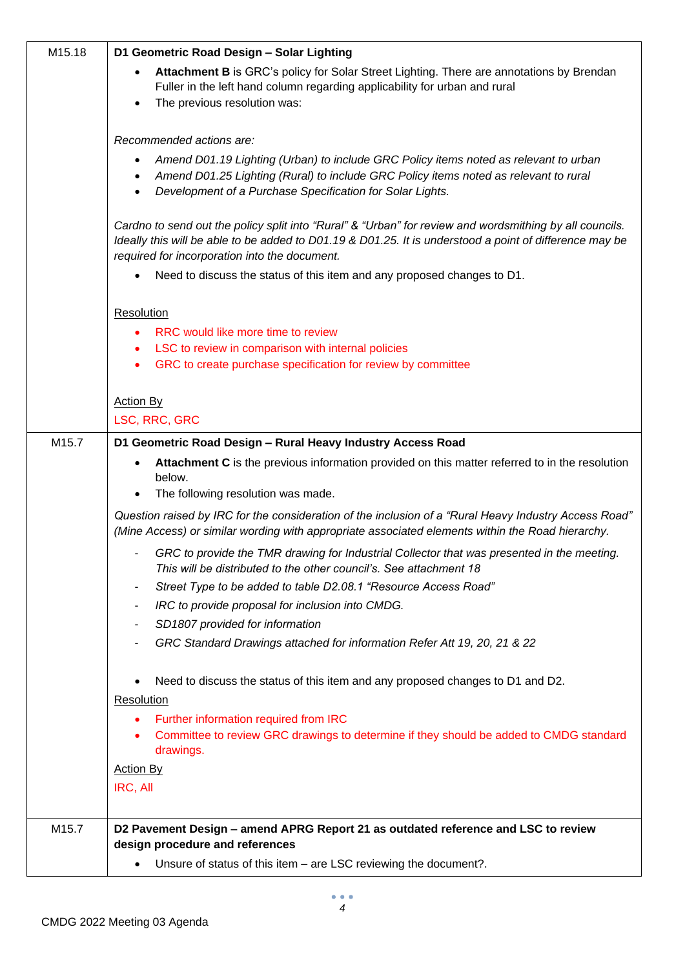| M15.18 | D1 Geometric Road Design - Solar Lighting                                                                                                                                                                                                                           |
|--------|---------------------------------------------------------------------------------------------------------------------------------------------------------------------------------------------------------------------------------------------------------------------|
|        | Attachment B is GRC's policy for Solar Street Lighting. There are annotations by Brendan<br>Fuller in the left hand column regarding applicability for urban and rural<br>The previous resolution was:<br>$\bullet$                                                 |
|        |                                                                                                                                                                                                                                                                     |
|        | Recommended actions are:                                                                                                                                                                                                                                            |
|        | Amend D01.19 Lighting (Urban) to include GRC Policy items noted as relevant to urban<br>Amend D01.25 Lighting (Rural) to include GRC Policy items noted as relevant to rural<br>Development of a Purchase Specification for Solar Lights.<br>$\bullet$              |
|        | Cardno to send out the policy split into "Rural" & "Urban" for review and wordsmithing by all councils.<br>Ideally this will be able to be added to D01.19 & D01.25. It is understood a point of difference may be<br>required for incorporation into the document. |
|        | Need to discuss the status of this item and any proposed changes to D1.                                                                                                                                                                                             |
|        | Resolution                                                                                                                                                                                                                                                          |
|        | RRC would like more time to review<br>٠                                                                                                                                                                                                                             |
|        | LSC to review in comparison with internal policies<br>٠                                                                                                                                                                                                             |
|        | GRC to create purchase specification for review by committee<br>$\bullet$                                                                                                                                                                                           |
|        | <b>Action By</b>                                                                                                                                                                                                                                                    |
|        | LSC, RRC, GRC                                                                                                                                                                                                                                                       |
| M15.7  | D1 Geometric Road Design - Rural Heavy Industry Access Road                                                                                                                                                                                                         |
|        | Attachment C is the previous information provided on this matter referred to in the resolution                                                                                                                                                                      |
|        | below.<br>The following resolution was made.                                                                                                                                                                                                                        |
|        | Question raised by IRC for the consideration of the inclusion of a "Rural Heavy Industry Access Road"<br>(Mine Access) or similar wording with appropriate associated elements within the Road hierarchy.                                                           |
|        | GRC to provide the TMR drawing for Industrial Collector that was presented in the meeting.<br>This will be distributed to the other council's. See attachment 18                                                                                                    |
|        | Street Type to be added to table D2.08.1 "Resource Access Road"                                                                                                                                                                                                     |
|        | IRC to provide proposal for inclusion into CMDG.<br>۰                                                                                                                                                                                                               |
|        | SD1807 provided for information<br>GRC Standard Drawings attached for information Refer Att 19, 20, 21 & 22                                                                                                                                                         |
|        |                                                                                                                                                                                                                                                                     |
|        | Need to discuss the status of this item and any proposed changes to D1 and D2.                                                                                                                                                                                      |
|        | Resolution                                                                                                                                                                                                                                                          |
|        | Further information required from IRC<br>Committee to review GRC drawings to determine if they should be added to CMDG standard<br>٠                                                                                                                                |
|        | drawings.                                                                                                                                                                                                                                                           |
|        | <b>Action By</b>                                                                                                                                                                                                                                                    |
|        | IRC, All                                                                                                                                                                                                                                                            |
| M15.7  | D2 Pavement Design - amend APRG Report 21 as outdated reference and LSC to review                                                                                                                                                                                   |
|        | design procedure and references                                                                                                                                                                                                                                     |
|        | Unsure of status of this item - are LSC reviewing the document?.                                                                                                                                                                                                    |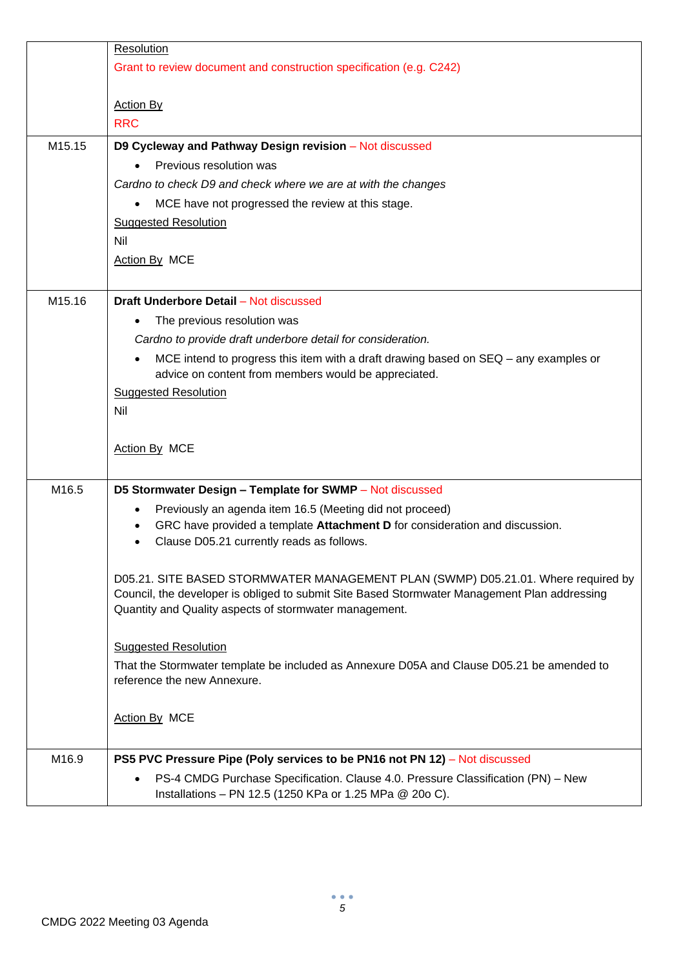|        | Resolution                                                                                                                                                                        |
|--------|-----------------------------------------------------------------------------------------------------------------------------------------------------------------------------------|
|        | Grant to review document and construction specification (e.g. C242)                                                                                                               |
|        | <b>Action By</b><br><b>RRC</b>                                                                                                                                                    |
| M15.15 | D9 Cycleway and Pathway Design revision - Not discussed                                                                                                                           |
|        | Previous resolution was                                                                                                                                                           |
|        | Cardno to check D9 and check where we are at with the changes                                                                                                                     |
|        | MCE have not progressed the review at this stage.                                                                                                                                 |
|        | <b>Suggested Resolution</b>                                                                                                                                                       |
|        | <b>Nil</b>                                                                                                                                                                        |
|        | Action By MCE                                                                                                                                                                     |
| M15.16 | <b>Draft Underbore Detail - Not discussed</b>                                                                                                                                     |
|        | The previous resolution was                                                                                                                                                       |
|        | Cardno to provide draft underbore detail for consideration.                                                                                                                       |
|        | MCE intend to progress this item with a draft drawing based on SEQ – any examples or                                                                                              |
|        | advice on content from members would be appreciated.                                                                                                                              |
|        | <b>Suggested Resolution</b><br>Nil                                                                                                                                                |
|        |                                                                                                                                                                                   |
|        | Action By MCE                                                                                                                                                                     |
| M16.5  | D5 Stormwater Design - Template for SWMP - Not discussed                                                                                                                          |
|        | Previously an agenda item 16.5 (Meeting did not proceed)                                                                                                                          |
|        | GRC have provided a template Attachment D for consideration and discussion.<br>Clause D05.21 currently reads as follows.                                                          |
|        |                                                                                                                                                                                   |
|        | D05.21. SITE BASED STORMWATER MANAGEMENT PLAN (SWMP) D05.21.01. Where required by<br>Council, the developer is obliged to submit Site Based Stormwater Management Plan addressing |
|        | Quantity and Quality aspects of stormwater management.                                                                                                                            |
|        | <b>Suggested Resolution</b>                                                                                                                                                       |
|        | That the Stormwater template be included as Annexure D05A and Clause D05.21 be amended to                                                                                         |
|        | reference the new Annexure.                                                                                                                                                       |
|        | Action By MCE                                                                                                                                                                     |
| M16.9  | PS5 PVC Pressure Pipe (Poly services to be PN16 not PN 12) - Not discussed                                                                                                        |
|        | PS-4 CMDG Purchase Specification. Clause 4.0. Pressure Classification (PN) - New<br>Installations - PN 12.5 (1250 KPa or 1.25 MPa @ 20o C).                                       |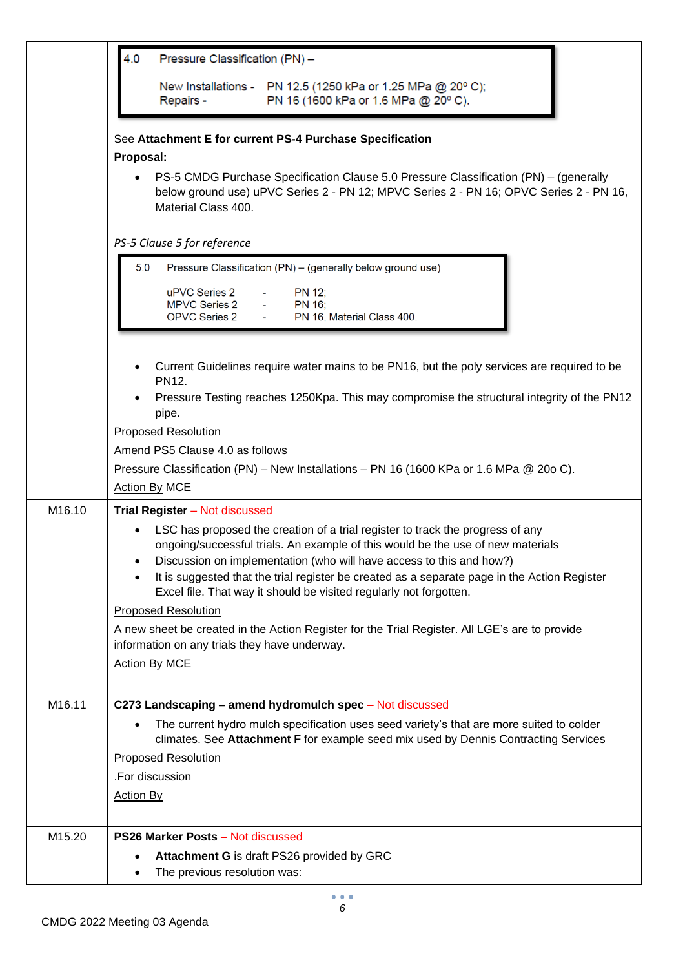|        | 4.0<br>Pressure Classification (PN) -                                                                                                                                                                  |
|--------|--------------------------------------------------------------------------------------------------------------------------------------------------------------------------------------------------------|
|        | New Installations - PN 12.5 (1250 kPa or 1.25 MPa @ 20° C);<br>PN 16 (1600 kPa or 1.6 MPa @ 20° C).<br>Repairs -                                                                                       |
|        | See Attachment E for current PS-4 Purchase Specification                                                                                                                                               |
|        | Proposal:                                                                                                                                                                                              |
|        | PS-5 CMDG Purchase Specification Clause 5.0 Pressure Classification (PN) - (generally<br>below ground use) uPVC Series 2 - PN 12; MPVC Series 2 - PN 16; OPVC Series 2 - PN 16,<br>Material Class 400. |
|        | PS-5 Clause 5 for reference                                                                                                                                                                            |
|        | 5.0<br>Pressure Classification (PN) - (generally below ground use)                                                                                                                                     |
|        | uPVC Series 2<br>PN 12;<br><b>MPVC Series 2</b><br>PN 16;<br><b>OPVC Series 2</b><br>PN 16, Material Class 400.                                                                                        |
|        |                                                                                                                                                                                                        |
|        | Current Guidelines require water mains to be PN16, but the poly services are required to be<br>PN12.                                                                                                   |
|        | Pressure Testing reaches 1250Kpa. This may compromise the structural integrity of the PN12<br>pipe.                                                                                                    |
|        | <b>Proposed Resolution</b>                                                                                                                                                                             |
|        | Amend PS5 Clause 4.0 as follows                                                                                                                                                                        |
|        | Pressure Classification (PN) – New Installations – PN 16 (1600 KPa or 1.6 MPa @ 20o C).                                                                                                                |
|        | <b>Action By MCE</b>                                                                                                                                                                                   |
| M16.10 | Trial Register - Not discussed                                                                                                                                                                         |
|        | LSC has proposed the creation of a trial register to track the progress of any                                                                                                                         |
|        | ongoing/successful trials. An example of this would be the use of new materials<br>Discussion on implementation (who will have access to this and how?)                                                |
|        | It is suggested that the trial register be created as a separate page in the Action Register                                                                                                           |
|        | Excel file. That way it should be visited regularly not forgotten.                                                                                                                                     |
|        | <b>Proposed Resolution</b>                                                                                                                                                                             |
|        | A new sheet be created in the Action Register for the Trial Register. All LGE's are to provide<br>information on any trials they have underway.                                                        |
|        | <b>Action By MCE</b>                                                                                                                                                                                   |
|        |                                                                                                                                                                                                        |
| M16.11 | C273 Landscaping - amend hydromulch spec - Not discussed                                                                                                                                               |
|        | The current hydro mulch specification uses seed variety's that are more suited to colder                                                                                                               |
|        | climates. See Attachment F for example seed mix used by Dennis Contracting Services<br><b>Proposed Resolution</b>                                                                                      |
|        | .For discussion                                                                                                                                                                                        |
|        | <b>Action By</b>                                                                                                                                                                                       |
|        |                                                                                                                                                                                                        |
| M15.20 | <b>PS26 Marker Posts - Not discussed</b>                                                                                                                                                               |
|        | <b>Attachment G</b> is draft PS26 provided by GRC                                                                                                                                                      |
|        | The previous resolution was:                                                                                                                                                                           |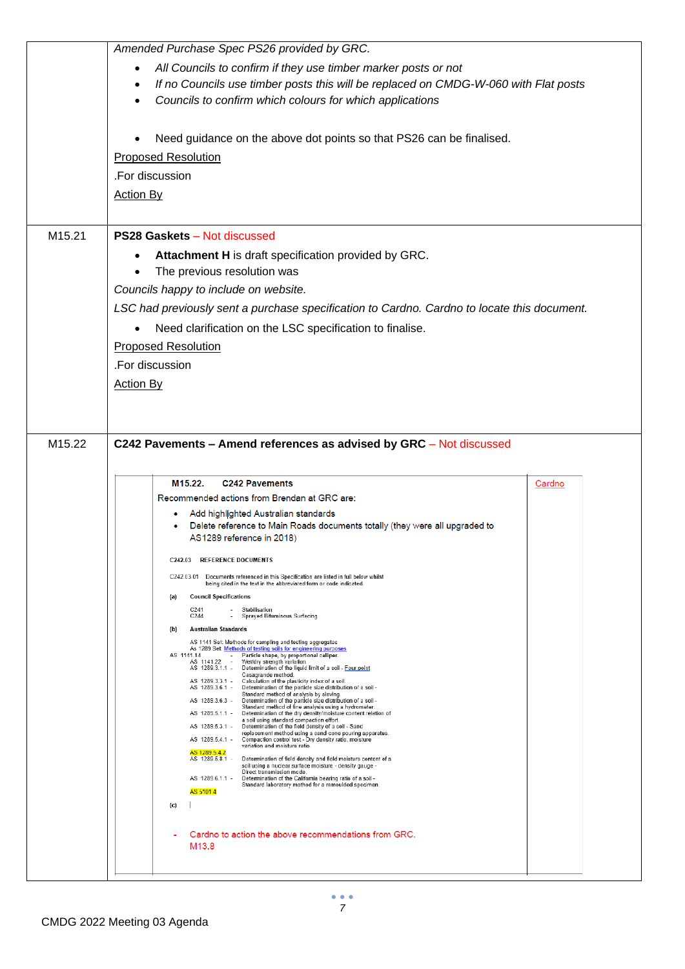|                    | Amended Purchase Spec PS26 provided by GRC.                                                                                                                                                                                                                                                                                                                                                                                                                                                                                                                                                                                                                                                                                                                                                                                                                                                                                                                                                                                                                                                                                                                                                                                                                                                                                                                                                                                                                                                                                                                                                                                                                                                                                                                                                                                                                                                                                                                                                                                                                                                                                                                                                       |        |
|--------------------|---------------------------------------------------------------------------------------------------------------------------------------------------------------------------------------------------------------------------------------------------------------------------------------------------------------------------------------------------------------------------------------------------------------------------------------------------------------------------------------------------------------------------------------------------------------------------------------------------------------------------------------------------------------------------------------------------------------------------------------------------------------------------------------------------------------------------------------------------------------------------------------------------------------------------------------------------------------------------------------------------------------------------------------------------------------------------------------------------------------------------------------------------------------------------------------------------------------------------------------------------------------------------------------------------------------------------------------------------------------------------------------------------------------------------------------------------------------------------------------------------------------------------------------------------------------------------------------------------------------------------------------------------------------------------------------------------------------------------------------------------------------------------------------------------------------------------------------------------------------------------------------------------------------------------------------------------------------------------------------------------------------------------------------------------------------------------------------------------------------------------------------------------------------------------------------------------|--------|
|                    | All Councils to confirm if they use timber marker posts or not<br>If no Councils use timber posts this will be replaced on CMDG-W-060 with Flat posts<br>$\bullet$<br>Councils to confirm which colours for which applications                                                                                                                                                                                                                                                                                                                                                                                                                                                                                                                                                                                                                                                                                                                                                                                                                                                                                                                                                                                                                                                                                                                                                                                                                                                                                                                                                                                                                                                                                                                                                                                                                                                                                                                                                                                                                                                                                                                                                                    |        |
|                    | Need guidance on the above dot points so that PS26 can be finalised.<br><b>Proposed Resolution</b><br>.For discussion<br><b>Action By</b>                                                                                                                                                                                                                                                                                                                                                                                                                                                                                                                                                                                                                                                                                                                                                                                                                                                                                                                                                                                                                                                                                                                                                                                                                                                                                                                                                                                                                                                                                                                                                                                                                                                                                                                                                                                                                                                                                                                                                                                                                                                         |        |
| M <sub>15.21</sub> | <b>PS28 Gaskets - Not discussed</b><br>Attachment H is draft specification provided by GRC.<br>The previous resolution was<br>Councils happy to include on website.<br>LSC had previously sent a purchase specification to Cardno. Cardno to locate this document.<br>Need clarification on the LSC specification to finalise.<br><b>Proposed Resolution</b><br>.For discussion<br><b>Action By</b>                                                                                                                                                                                                                                                                                                                                                                                                                                                                                                                                                                                                                                                                                                                                                                                                                                                                                                                                                                                                                                                                                                                                                                                                                                                                                                                                                                                                                                                                                                                                                                                                                                                                                                                                                                                               |        |
| M15.22             | C242 Pavements - Amend references as advised by GRC - Not discussed<br>M15.22.<br><b>C242 Pavements</b><br>Recommended actions from Brendan at GRC are:<br>Add highlighted Australian standards<br>Delete reference to Main Roads documents totally (they were all upgraded to<br>AS1289 reference in 2018)<br><b>REFERENCE DOCUMENTS</b><br>C <sub>242.03</sub><br>C242.03.01 Documents referenced in this Specification are listed in full below whilst<br>being cited in the text in the abbreviated form or code indicated.<br><b>Council Specifications</b><br>(a)<br>C241<br>Stabilisation<br>C244<br>Sprayed Bituminous Surfacing<br>$\overline{\phantom{a}}$<br>Australian Standards<br>(b)<br>AS 1141 Set: Methods for sampling and testing aggregates<br>As 1289 Set Methods of testing soils for engineering purposes<br>AS 1141.14<br>- Particle shape, by proportional calliper.<br>Wet/dry strength variation.<br>AS 1141.22 -<br>AS 1289.3.1.1 -<br>Determination of the liquid limit of a soil - Four point<br>Casagrande method.<br>Calculation of the plasticity index of a soil.<br>AS 1289.3.3.1 -<br>AS 1289.3.6.1 -<br>Determination of the particle size distribution of a soil -<br>Standard method of analysis by sieving.<br>Determination of the particle size distribution of a soil -<br>AS 1289.3.6.3 -<br>Standard method of fine analysis using a hydrometer.<br>Determination of the dry density/moisture content relation of<br>AS 1289.5.1.1 -<br>a soil using standard compaction effort.<br>Determination of the field density of a soil - Sand<br>AS 1289.5.3.1 -<br>replacement method using a sand-cone pouring apparatus.<br>AS 1289.5.4.1 -<br>Compaction control test - Dry density ratio, moisture<br>variation and moisture ratio.<br>AS 1289.5.4.2<br>AS 1289.5.8.1 -<br>Determination of field density and field moisture content of a<br>soil using a nuclear surface moisture - density gauge -<br>Direct transmission mode.<br>AS 1289.6.1.1 -<br>Determination of the California bearing ratio of a soil -<br>Standard laboratory method for a remoulded specimen.<br>AS 5101.4<br>(c)<br>Cardno to action the above recommendations from GRC. | Cardno |
|                    | M <sub>13.8</sub>                                                                                                                                                                                                                                                                                                                                                                                                                                                                                                                                                                                                                                                                                                                                                                                                                                                                                                                                                                                                                                                                                                                                                                                                                                                                                                                                                                                                                                                                                                                                                                                                                                                                                                                                                                                                                                                                                                                                                                                                                                                                                                                                                                                 |        |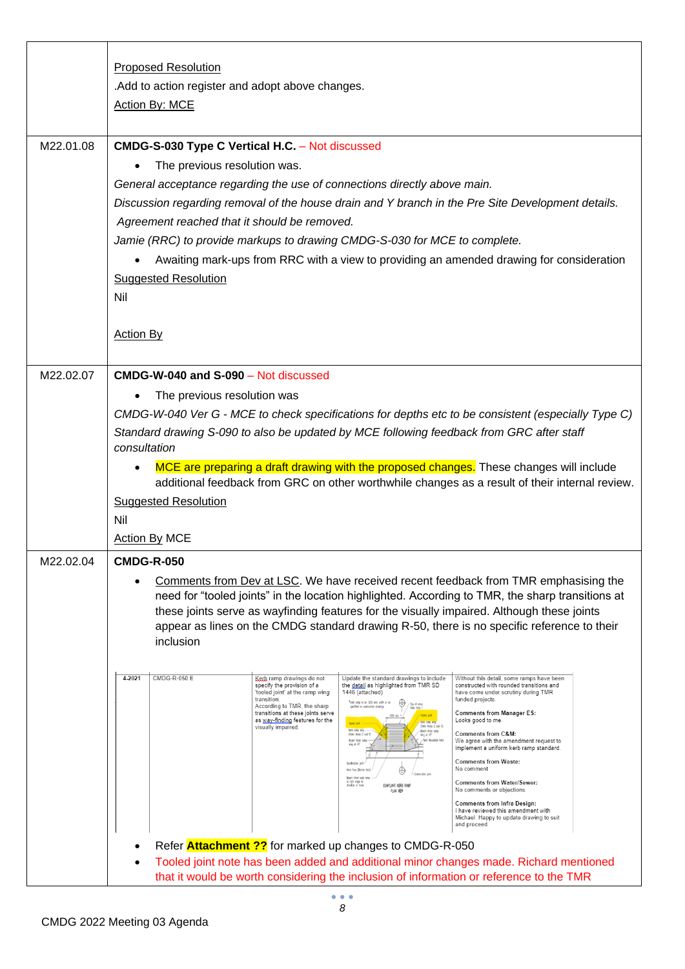|           | <b>Proposed Resolution</b><br>. Add to action register and adopt above changes.<br>Action By: MCE                                                                                                                                                                                                                                                                                                                                                                                                                                                                                                                                                                                                                                                                                                                                                                                                                                                                                                                                                                                                                                                                                                                                                                                                                                                                                                                                                                                                                                                                                                                                                                                                                                                                                                                                                                               |
|-----------|---------------------------------------------------------------------------------------------------------------------------------------------------------------------------------------------------------------------------------------------------------------------------------------------------------------------------------------------------------------------------------------------------------------------------------------------------------------------------------------------------------------------------------------------------------------------------------------------------------------------------------------------------------------------------------------------------------------------------------------------------------------------------------------------------------------------------------------------------------------------------------------------------------------------------------------------------------------------------------------------------------------------------------------------------------------------------------------------------------------------------------------------------------------------------------------------------------------------------------------------------------------------------------------------------------------------------------------------------------------------------------------------------------------------------------------------------------------------------------------------------------------------------------------------------------------------------------------------------------------------------------------------------------------------------------------------------------------------------------------------------------------------------------------------------------------------------------------------------------------------------------|
| M22.01.08 | CMDG-S-030 Type C Vertical H.C. - Not discussed<br>The previous resolution was.<br>General acceptance regarding the use of connections directly above main.<br>Discussion regarding removal of the house drain and Y branch in the Pre Site Development details.<br>Agreement reached that it should be removed.<br>Jamie (RRC) to provide markups to drawing CMDG-S-030 for MCE to complete.<br>Awaiting mark-ups from RRC with a view to providing an amended drawing for consideration<br><b>Suggested Resolution</b><br>Nil<br><b>Action By</b>                                                                                                                                                                                                                                                                                                                                                                                                                                                                                                                                                                                                                                                                                                                                                                                                                                                                                                                                                                                                                                                                                                                                                                                                                                                                                                                             |
| M22.02.07 | <b>CMDG-W-040 and S-090 - Not discussed</b><br>The previous resolution was<br>CMDG-W-040 Ver G - MCE to check specifications for depths etc to be consistent (especially Type C)<br>Standard drawing S-090 to also be updated by MCE following feedback from GRC after staff<br>consultation<br>MCE are preparing a draft drawing with the proposed changes. These changes will include<br>additional feedback from GRC on other worthwhile changes as a result of their internal review.<br><b>Suggested Resolution</b><br>Nil<br><b>Action By MCE</b>                                                                                                                                                                                                                                                                                                                                                                                                                                                                                                                                                                                                                                                                                                                                                                                                                                                                                                                                                                                                                                                                                                                                                                                                                                                                                                                         |
| M22.02.04 | <b>CMDG-R-050</b><br>Comments from Dev at LSC. We have received recent feedback from TMR emphasising the<br>need for "tooled joints" in the location highlighted. According to TMR, the sharp transitions at<br>these joints serve as wayfinding features for the visually impaired. Although these joints<br>appear as lines on the CMDG standard drawing R-50, there is no specific reference to their<br>inclusion<br>4-2021<br><b>CMDG-R-050 E</b><br>Update the standard drawings to include<br>Kerb ramp drawings do not<br>Without this detail, some ramps have been<br>the detail as highlighted from TMR SD<br>specify the provision of a<br>constructed with rounded transitions and<br>1446 (attached)<br>'tooled joint' at the ramp wing<br>have come under scrutiny during TMR<br>funded projects.<br>transition.<br>*Keb ranp to be 1200 min. with or as<br>⊕<br>-Tap of ramp.<br>Refer Note 1<br>According to TMR, the sharp<br>transitions at these joints serve<br><b>Comments from Manager ES:</b><br>Not below<br>as way-finding features for the<br>Looks good to me.<br>Ket rong with<br>visually impaired.<br>(Refer Notes 2 cnd 4)<br>Keb romp wing<br>(Refer Notes 2 and 4)<br>Bren finish rang<br>Comments from C&M:<br>wing at 45°<br>Broam fixiat rom<br>-Seni Mountable Kerl<br>We agree with the amendment request to<br>ving at 45<br>implement a uniform kerb ramp standard.<br><b>Comments from Waste:</b><br>Construction joint<br>No comment<br>Kerb Face [Barrier Kerb]<br>e<br>Broom finish kerb rom<br>at right engin to<br><b>Comments from Water/Sewer:</b><br>COMPLIANT KERB RAWF<br>No comments or objections.<br>PLAN VIEW<br><b>Comments from Infra Design:</b><br>I have reviewed this amendment with<br>Michael. Happy to update drawing to suit<br>and proceed.<br>Refer <b>Attachment ??</b> for marked up changes to CMDG-R-050 |
|           | Tooled joint note has been added and additional minor changes made. Richard mentioned<br>that it would be worth considering the inclusion of information or reference to the TMR                                                                                                                                                                                                                                                                                                                                                                                                                                                                                                                                                                                                                                                                                                                                                                                                                                                                                                                                                                                                                                                                                                                                                                                                                                                                                                                                                                                                                                                                                                                                                                                                                                                                                                |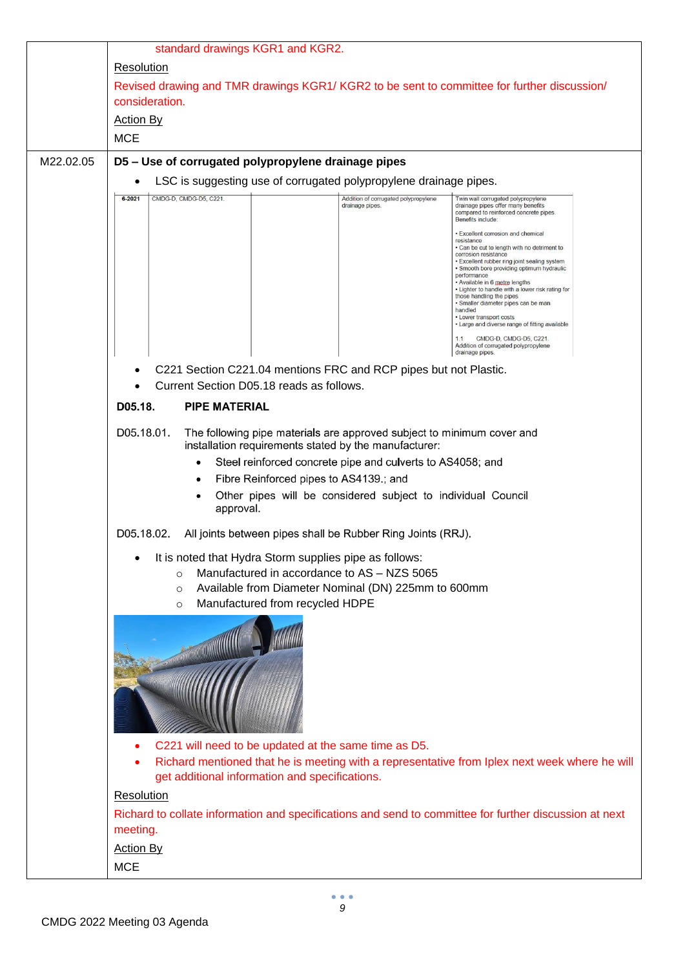|           | standard drawings KGR1 and KGR2.                                                                                                                                                                                                 |                                                                                                                                                                                                                                                                                                                                                                                                                                                                                      |
|-----------|----------------------------------------------------------------------------------------------------------------------------------------------------------------------------------------------------------------------------------|--------------------------------------------------------------------------------------------------------------------------------------------------------------------------------------------------------------------------------------------------------------------------------------------------------------------------------------------------------------------------------------------------------------------------------------------------------------------------------------|
|           | Resolution                                                                                                                                                                                                                       |                                                                                                                                                                                                                                                                                                                                                                                                                                                                                      |
|           | Revised drawing and TMR drawings KGR1/KGR2 to be sent to committee for further discussion/<br>consideration.                                                                                                                     |                                                                                                                                                                                                                                                                                                                                                                                                                                                                                      |
|           | <b>Action By</b>                                                                                                                                                                                                                 |                                                                                                                                                                                                                                                                                                                                                                                                                                                                                      |
|           | <b>MCE</b>                                                                                                                                                                                                                       |                                                                                                                                                                                                                                                                                                                                                                                                                                                                                      |
| M22.02.05 | D5 - Use of corrugated polypropylene drainage pipes                                                                                                                                                                              |                                                                                                                                                                                                                                                                                                                                                                                                                                                                                      |
|           | LSC is suggesting use of corrugated polypropylene drainage pipes.                                                                                                                                                                |                                                                                                                                                                                                                                                                                                                                                                                                                                                                                      |
|           | CMDG-D, CMDG-D5, C221.<br>$6 - 2021$<br>drainage pipes.                                                                                                                                                                          | Addition of corrugated polypropylene<br>Twin wall corrugated polypropylene<br>drainage pipes offer many benefits<br>compared to reinforced concrete pipes.<br>Benefits include:                                                                                                                                                                                                                                                                                                      |
|           |                                                                                                                                                                                                                                  | · Excellent corrosion and chemical<br>resistance<br>. Can be cut to length with no detriment to<br>corrosion resistance<br>• Excellent rubber ring joint sealing system<br>· Smooth bore providing optimum hydraulic<br>performance<br>• Available in 6 metre lengths<br>. Lighter to handle with a lower risk rating for<br>those handling the pipes<br>· Smaller diameter pipes can be man<br>handled<br>• Lower transport costs<br>• Large and diverse range of fitting available |
|           |                                                                                                                                                                                                                                  | CMDG-D, CMDG-D5, C221.<br>Addition of corrugated polypropylene<br>drainage pipes.                                                                                                                                                                                                                                                                                                                                                                                                    |
|           | C221 Section C221.04 mentions FRC and RCP pipes but not Plastic.                                                                                                                                                                 |                                                                                                                                                                                                                                                                                                                                                                                                                                                                                      |
|           | Current Section D05.18 reads as follows.                                                                                                                                                                                         |                                                                                                                                                                                                                                                                                                                                                                                                                                                                                      |
|           | D05.18.<br><b>PIPE MATERIAL</b>                                                                                                                                                                                                  |                                                                                                                                                                                                                                                                                                                                                                                                                                                                                      |
|           | D05.18.01.<br>The following pipe materials are approved subject to minimum cover and<br>installation requirements stated by the manufacturer:                                                                                    |                                                                                                                                                                                                                                                                                                                                                                                                                                                                                      |
|           | Steel reinforced concrete pipe and culverts to AS4058; and<br>٠                                                                                                                                                                  |                                                                                                                                                                                                                                                                                                                                                                                                                                                                                      |
|           | Fibre Reinforced pipes to AS4139.; and<br>$\bullet$<br>٠                                                                                                                                                                         | Other pipes will be considered subject to individual Council                                                                                                                                                                                                                                                                                                                                                                                                                         |
|           | approval.                                                                                                                                                                                                                        |                                                                                                                                                                                                                                                                                                                                                                                                                                                                                      |
|           | D05.18.02.<br>All joints between pipes shall be Rubber Ring Joints (RRJ).                                                                                                                                                        |                                                                                                                                                                                                                                                                                                                                                                                                                                                                                      |
|           | It is noted that Hydra Storm supplies pipe as follows:<br>Manufactured in accordance to AS - NZS 5065<br>$\circ$<br>Available from Diameter Nominal (DN) 225mm to 600mm<br>$\circ$<br>Manufactured from recycled HDPE<br>$\circ$ |                                                                                                                                                                                                                                                                                                                                                                                                                                                                                      |
|           |                                                                                                                                                                                                                                  |                                                                                                                                                                                                                                                                                                                                                                                                                                                                                      |
|           |                                                                                                                                                                                                                                  |                                                                                                                                                                                                                                                                                                                                                                                                                                                                                      |
|           | C221 will need to be updated at the same time as D5.<br>get additional information and specifications.                                                                                                                           | Richard mentioned that he is meeting with a representative from Iplex next week where he will                                                                                                                                                                                                                                                                                                                                                                                        |
|           | Resolution                                                                                                                                                                                                                       |                                                                                                                                                                                                                                                                                                                                                                                                                                                                                      |
|           | meeting.                                                                                                                                                                                                                         | Richard to collate information and specifications and send to committee for further discussion at next                                                                                                                                                                                                                                                                                                                                                                               |
|           | <b>Action By</b>                                                                                                                                                                                                                 |                                                                                                                                                                                                                                                                                                                                                                                                                                                                                      |
|           | <b>MCE</b>                                                                                                                                                                                                                       |                                                                                                                                                                                                                                                                                                                                                                                                                                                                                      |
|           |                                                                                                                                                                                                                                  |                                                                                                                                                                                                                                                                                                                                                                                                                                                                                      |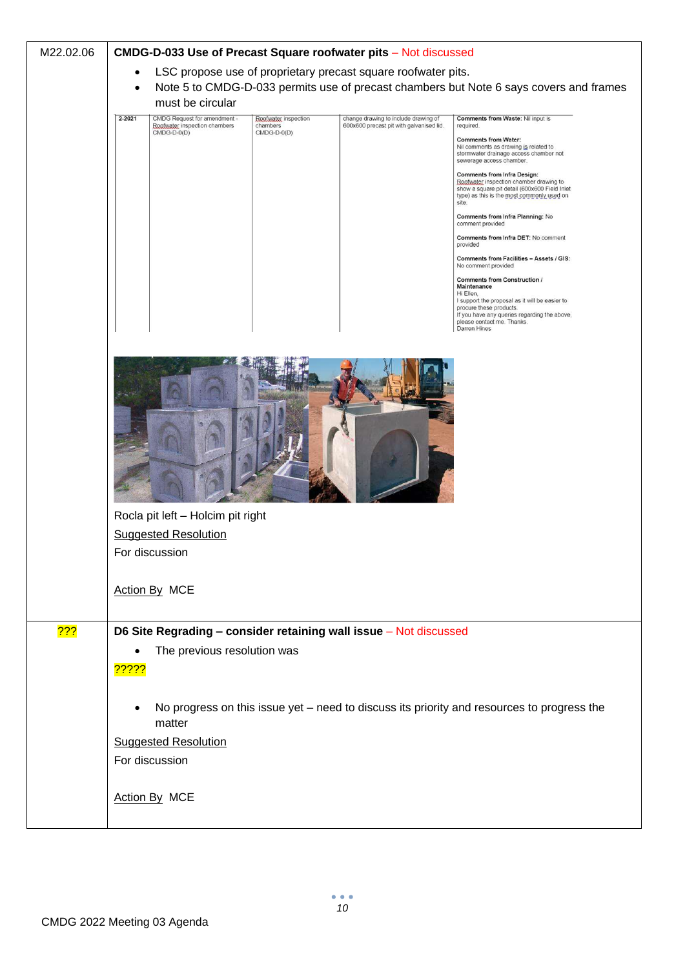| M22.02.06 | CMDG-D-033 Use of Precast Square roofwater pits - Not discussed                                                                                                                       |
|-----------|---------------------------------------------------------------------------------------------------------------------------------------------------------------------------------------|
|           | LSC propose use of proprietary precast square roofwater pits.<br>$\bullet$                                                                                                            |
|           | Note 5 to CMDG-D-033 permits use of precast chambers but Note 6 says covers and frames<br>$\bullet$                                                                                   |
|           | must be circular<br>$2 - 2021$<br>CMDG Request for amendment -<br><b>Comments from Waste: Nil input is</b><br>change drawing to include drawing of                                    |
|           | Roofwater inspection<br>Roofwater inspection chambers<br>chambers<br>600x600 precast pit with galvanised lid.<br>required.<br>$CMDG-D-0(D)$<br>CMDG-D-0(D)                            |
|           | <b>Comments from Water:</b><br>Nil comments as drawing is related to<br>stormwater drainage access chamber not<br>sewerage access chamber.                                            |
|           | <b>Comments from Infra Design:</b><br>Roofwater inspection chamber drawing to<br>show a square pit detail (600x600 Field Inlet<br>type) as this is the most commonly used on<br>site. |
|           | Comments from Infra Planning: No<br>comment provided                                                                                                                                  |
|           | Comments from Infra DET: No comment<br>provided                                                                                                                                       |
|           | Comments from Facilities - Assets / GIS:<br>No comment provided                                                                                                                       |
|           | <b>Comments from Construction /</b><br>Maintenance                                                                                                                                    |
|           | Hi Ellen,<br>I support the proposal as it will be easier to<br>procure these products.                                                                                                |
|           | If you have any queries regarding the above,<br>please contact me. Thanks.<br>Darren Hines                                                                                            |
|           |                                                                                                                                                                                       |
|           | Rocla pit left - Holcim pit right<br><b>Suggested Resolution</b><br>For discussion<br><b>Action By MCE</b>                                                                            |
|           |                                                                                                                                                                                       |
| 722       | D6 Site Regrading - consider retaining wall issue - Not discussed<br>The previous resolution was                                                                                      |
|           | <mark>?????</mark>                                                                                                                                                                    |
|           |                                                                                                                                                                                       |
|           | No progress on this issue yet - need to discuss its priority and resources to progress the<br>$\bullet$                                                                               |
|           | matter                                                                                                                                                                                |
|           | <b>Suggested Resolution</b>                                                                                                                                                           |
|           | For discussion                                                                                                                                                                        |
|           | <b>Action By MCE</b>                                                                                                                                                                  |
|           |                                                                                                                                                                                       |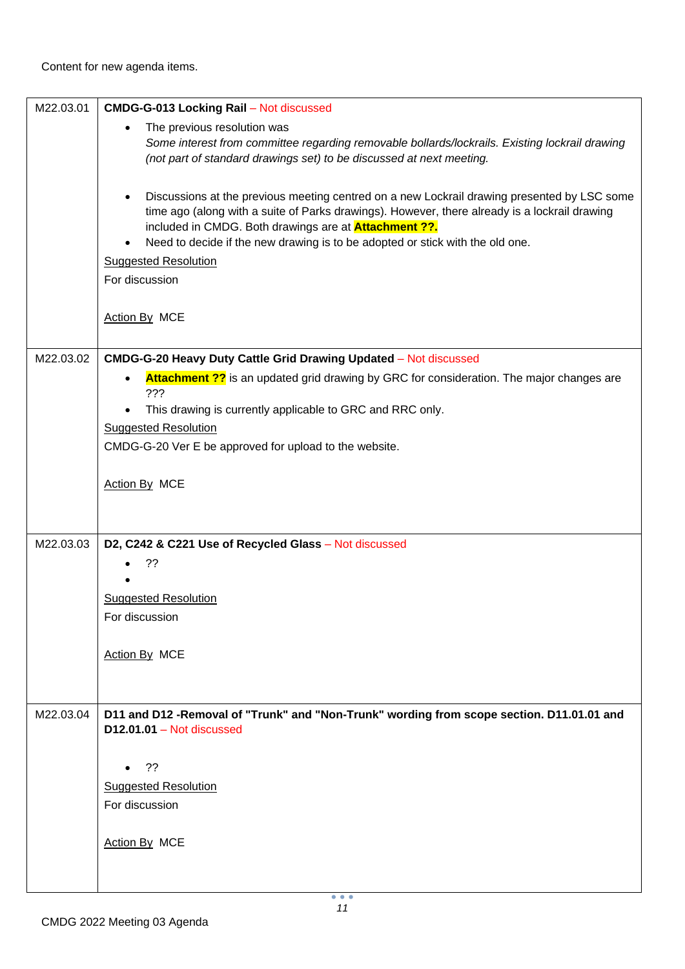| M22.03.01 | <b>CMDG-G-013 Locking Rail - Not discussed</b>                                                                                                                                                                                                                                                                                                             |
|-----------|------------------------------------------------------------------------------------------------------------------------------------------------------------------------------------------------------------------------------------------------------------------------------------------------------------------------------------------------------------|
|           | The previous resolution was<br>$\bullet$<br>Some interest from committee regarding removable bollards/lockrails. Existing lockrail drawing<br>(not part of standard drawings set) to be discussed at next meeting.                                                                                                                                         |
|           | Discussions at the previous meeting centred on a new Lockrail drawing presented by LSC some<br>$\bullet$<br>time ago (along with a suite of Parks drawings). However, there already is a lockrail drawing<br>included in CMDG. Both drawings are at <b>Attachment ??.</b><br>Need to decide if the new drawing is to be adopted or stick with the old one. |
|           | $\bullet$<br><b>Suggested Resolution</b>                                                                                                                                                                                                                                                                                                                   |
|           | For discussion                                                                                                                                                                                                                                                                                                                                             |
|           |                                                                                                                                                                                                                                                                                                                                                            |
|           | Action By MCE                                                                                                                                                                                                                                                                                                                                              |
| M22.03.02 | CMDG-G-20 Heavy Duty Cattle Grid Drawing Updated - Not discussed                                                                                                                                                                                                                                                                                           |
|           | <b>Attachment ??</b> is an updated grid drawing by GRC for consideration. The major changes are<br>$\bullet$<br>???                                                                                                                                                                                                                                        |
|           | This drawing is currently applicable to GRC and RRC only.<br>$\bullet$                                                                                                                                                                                                                                                                                     |
|           | <b>Suggested Resolution</b>                                                                                                                                                                                                                                                                                                                                |
|           | CMDG-G-20 Ver E be approved for upload to the website.                                                                                                                                                                                                                                                                                                     |
|           |                                                                                                                                                                                                                                                                                                                                                            |
|           | Action By MCE                                                                                                                                                                                                                                                                                                                                              |
|           |                                                                                                                                                                                                                                                                                                                                                            |
| M22.03.03 | D2, C242 & C221 Use of Recycled Glass - Not discussed                                                                                                                                                                                                                                                                                                      |
|           | ??                                                                                                                                                                                                                                                                                                                                                         |
|           |                                                                                                                                                                                                                                                                                                                                                            |
|           | <b>Suggested Resolution</b>                                                                                                                                                                                                                                                                                                                                |
|           | For discussion                                                                                                                                                                                                                                                                                                                                             |
|           | Action By MCE                                                                                                                                                                                                                                                                                                                                              |
|           |                                                                                                                                                                                                                                                                                                                                                            |
|           |                                                                                                                                                                                                                                                                                                                                                            |
| M22.03.04 | D11 and D12 -Removal of "Trunk" and "Non-Trunk" wording from scope section. D11.01.01 and<br>$D12.01.01 - Not discussed$                                                                                                                                                                                                                                   |
|           |                                                                                                                                                                                                                                                                                                                                                            |
|           | ??<br>$\bullet$                                                                                                                                                                                                                                                                                                                                            |
|           | <b>Suggested Resolution</b><br>For discussion                                                                                                                                                                                                                                                                                                              |
|           |                                                                                                                                                                                                                                                                                                                                                            |
|           | Action By MCE                                                                                                                                                                                                                                                                                                                                              |
|           |                                                                                                                                                                                                                                                                                                                                                            |
|           |                                                                                                                                                                                                                                                                                                                                                            |